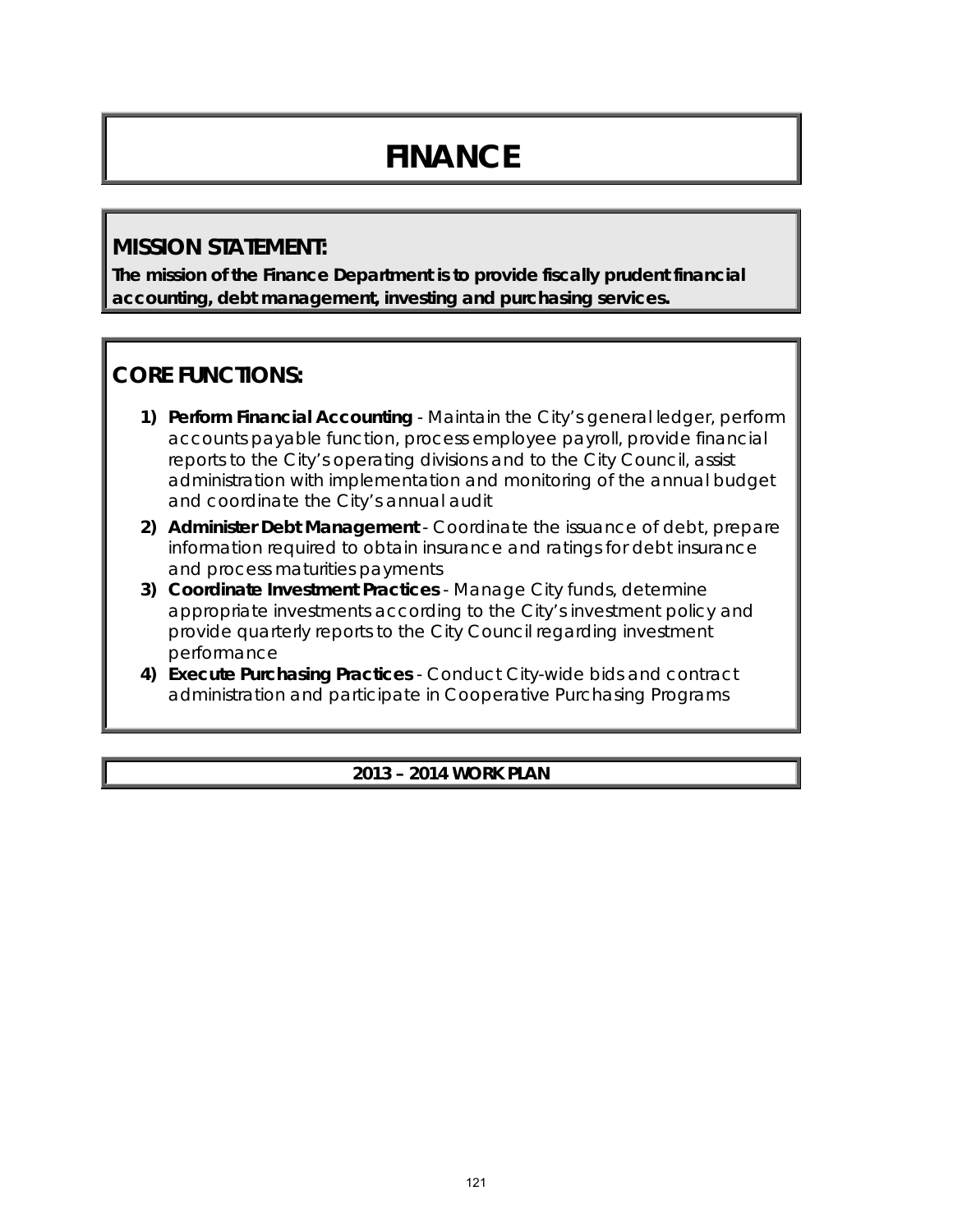# **FINANCE**

# **MISSION STATEMENT:**

**The mission of the Finance Department is to provide fiscally prudent financial accounting, debt management, investing and purchasing services.**

# **CORE FUNCTIONS:**

- **1) Perform Financial Accounting** Maintain the City's general ledger, perform accounts payable function, process employee payroll, provide financial reports to the City's operating divisions and to the City Council, assist administration with implementation and monitoring of the annual budget and coordinate the City's annual audit
- **2) Administer Debt Management** Coordinate the issuance of debt, prepare information required to obtain insurance and ratings for debt insurance and process maturities payments
- **3) Coordinate Investment Practices** Manage City funds, determine appropriate investments according to the City's investment policy and provide quarterly reports to the City Council regarding investment performance
- **4) Execute Purchasing Practices** Conduct City-wide bids and contract administration and participate in Cooperative Purchasing Programs

#### **2013 – 2014 WORK PLAN**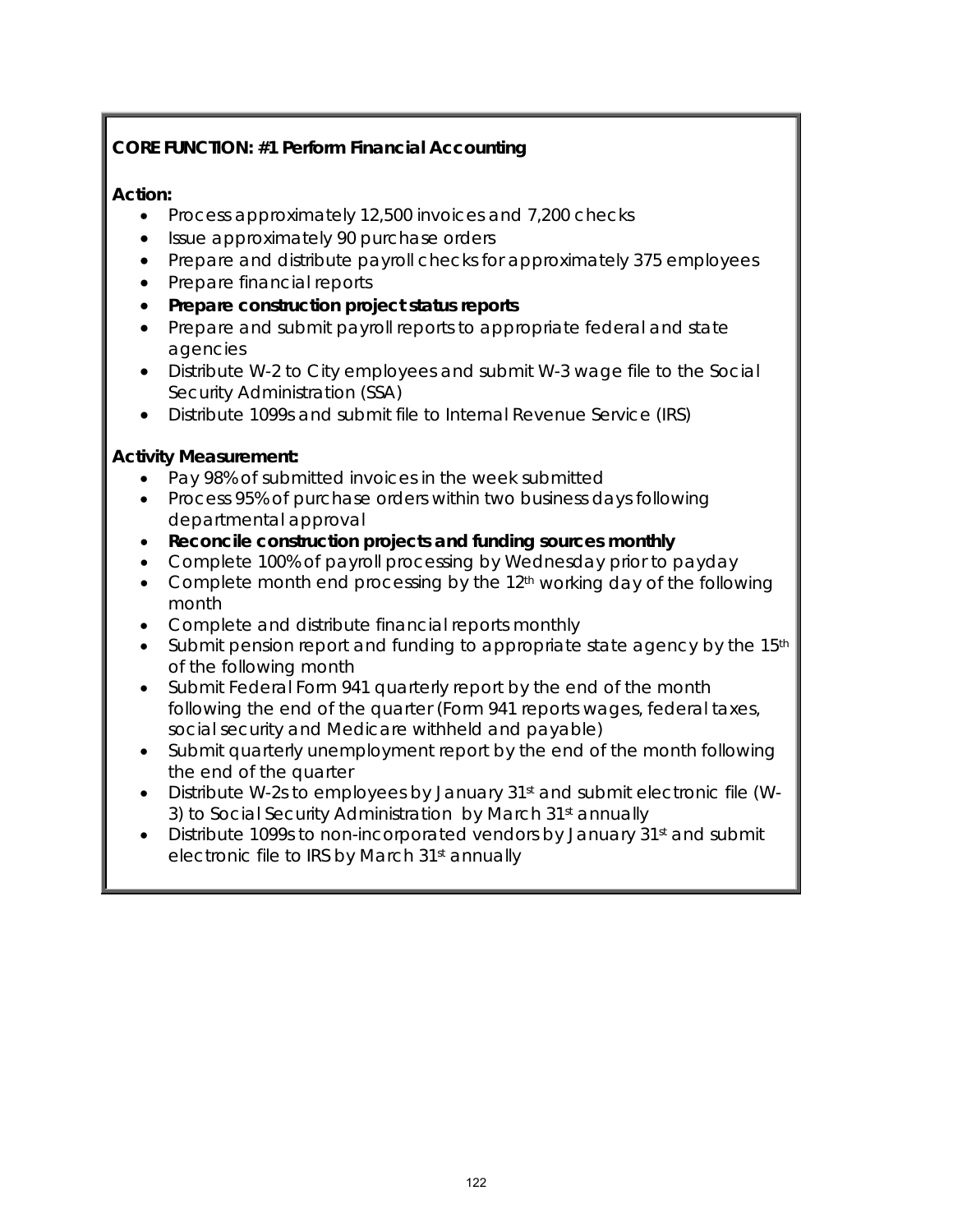# **CORE FUNCTION: #1 Perform Financial Accounting**

#### **Action:**

- Process approximately 12,500 invoices and 7,200 checks
- Issue approximately 90 purchase orders
- Prepare and distribute payroll checks for approximately 375 employees
- Prepare financial reports
- **Prepare construction project status reports**
- Prepare and submit payroll reports to appropriate federal and state agencies
- Distribute W-2 to City employees and submit W-3 wage file to the Social Security Administration (SSA)
- Distribute 1099s and submit file to Internal Revenue Service (IRS)

#### **Activity Measurement:**

- Pay 98% of submitted invoices in the week submitted
- Process 95% of purchase orders within two business days following departmental approval
- **Reconcile construction projects and funding sources monthly**
- Complete 100% of payroll processing by Wednesday prior to payday
- Complete month end processing by the 12<sup>th</sup> working day of the following month
- Complete and distribute financial reports monthly
- Submit pension report and funding to appropriate state agency by the  $15<sup>th</sup>$ of the following month
- Submit Federal Form 941 quarterly report by the end of the month following the end of the quarter (Form 941 reports wages, federal taxes, social security and Medicare withheld and payable)
- Submit quarterly unemployment report by the end of the month following the end of the quarter
- Distribute W-2s to employees by January 31st and submit electronic file (W-3) to Social Security Administration by March 31<sup>st</sup> annually
- Distribute 1099s to non-incorporated vendors by January 31st and submit electronic file to IRS by March 31<sup>st</sup> annually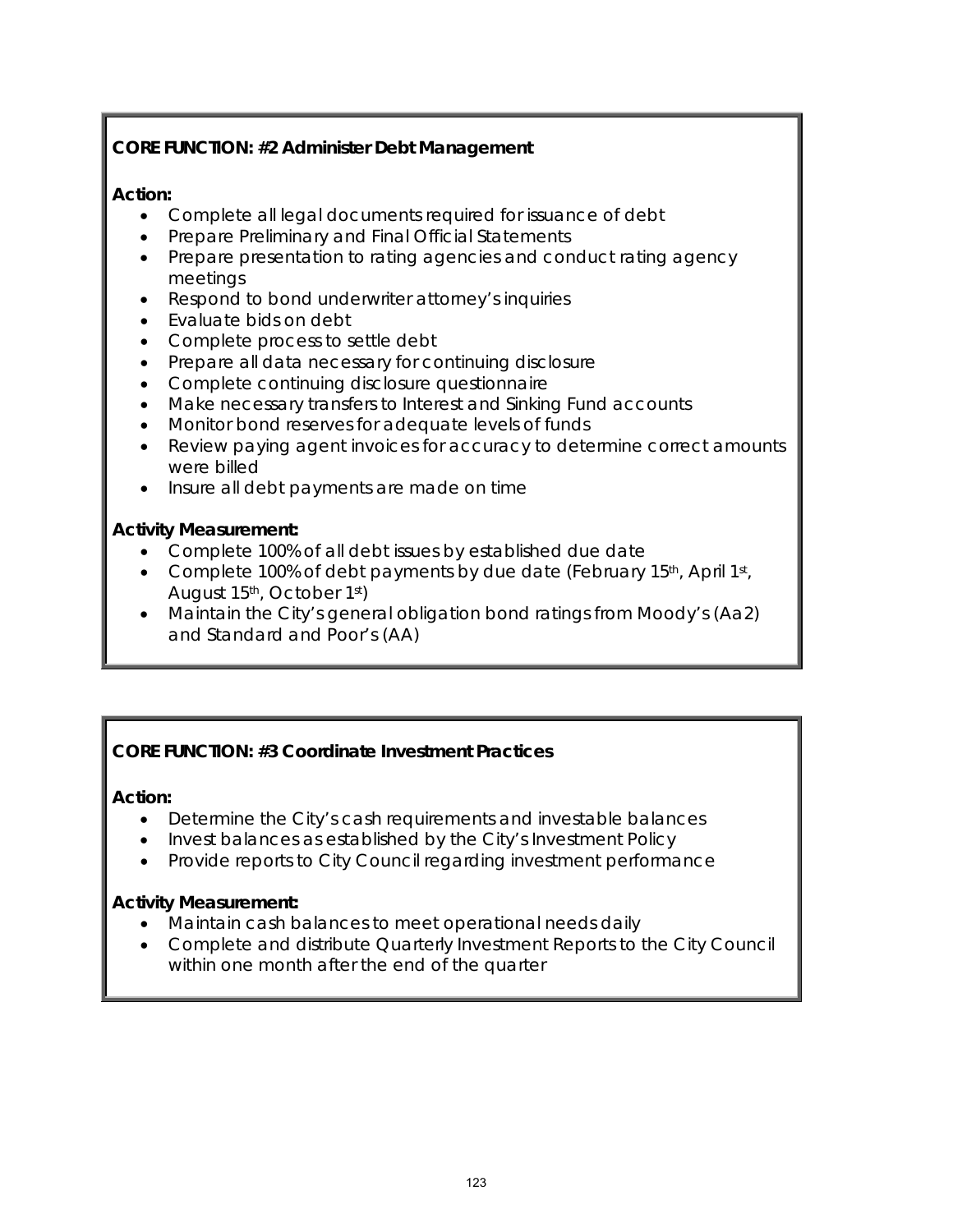## **CORE FUNCTION: #2 Administer Debt Management**

#### **Action:**

- Complete all legal documents required for issuance of debt
- Prepare Preliminary and Final Official Statements
- Prepare presentation to rating agencies and conduct rating agency meetings
- Respond to bond underwriter attorney's inquiries
- Evaluate bids on debt
- Complete process to settle debt
- Prepare all data necessary for continuing disclosure
- Complete continuing disclosure questionnaire
- Make necessary transfers to Interest and Sinking Fund accounts
- Monitor bond reserves for adequate levels of funds
- Review paying agent invoices for accuracy to determine correct amounts were billed
- Insure all debt payments are made on time

#### **Activity Measurement:**

- Complete 100% of all debt issues by established due date
- Complete 100% of debt payments by due date (February 15<sup>th</sup>, April 1<sup>st</sup>, August 15th, October 1st)
- Maintain the City's general obligation bond ratings from *Moody's* (Aa2) and *Standard and Poor's* (AA)

#### **CORE FUNCTION: #3 Coordinate Investment Practices**

#### **Action:**

- Determine the City's cash requirements and investable balances
- Invest balances as established by the City's Investment Policy
- Provide reports to City Council regarding investment performance

#### **Activity Measurement:**

- Maintain cash balances to meet operational needs daily
- Complete and distribute Quarterly Investment Reports to the City Council within one month after the end of the quarter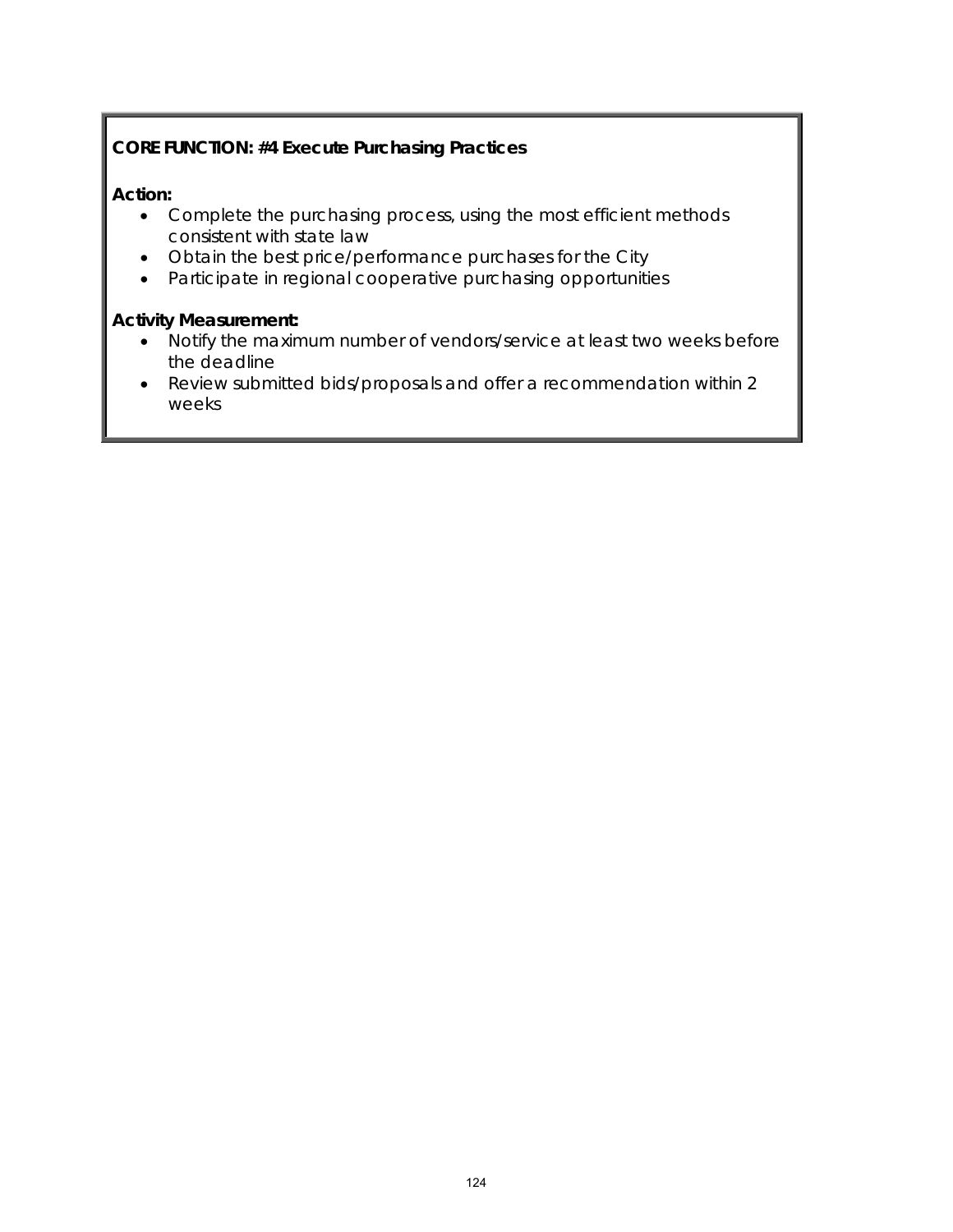## **CORE FUNCTION: #4 Execute Purchasing Practices**

#### **Action:**

- Complete the purchasing process, using the most efficient methods consistent with state law
- Obtain the best price/performance purchases for the City
- Participate in regional cooperative purchasing opportunities

#### **Activity Measurement:**

- Notify the maximum number of vendors/service at least two weeks before the deadline
- Review submitted bids/proposals and offer a recommendation within 2 weeks